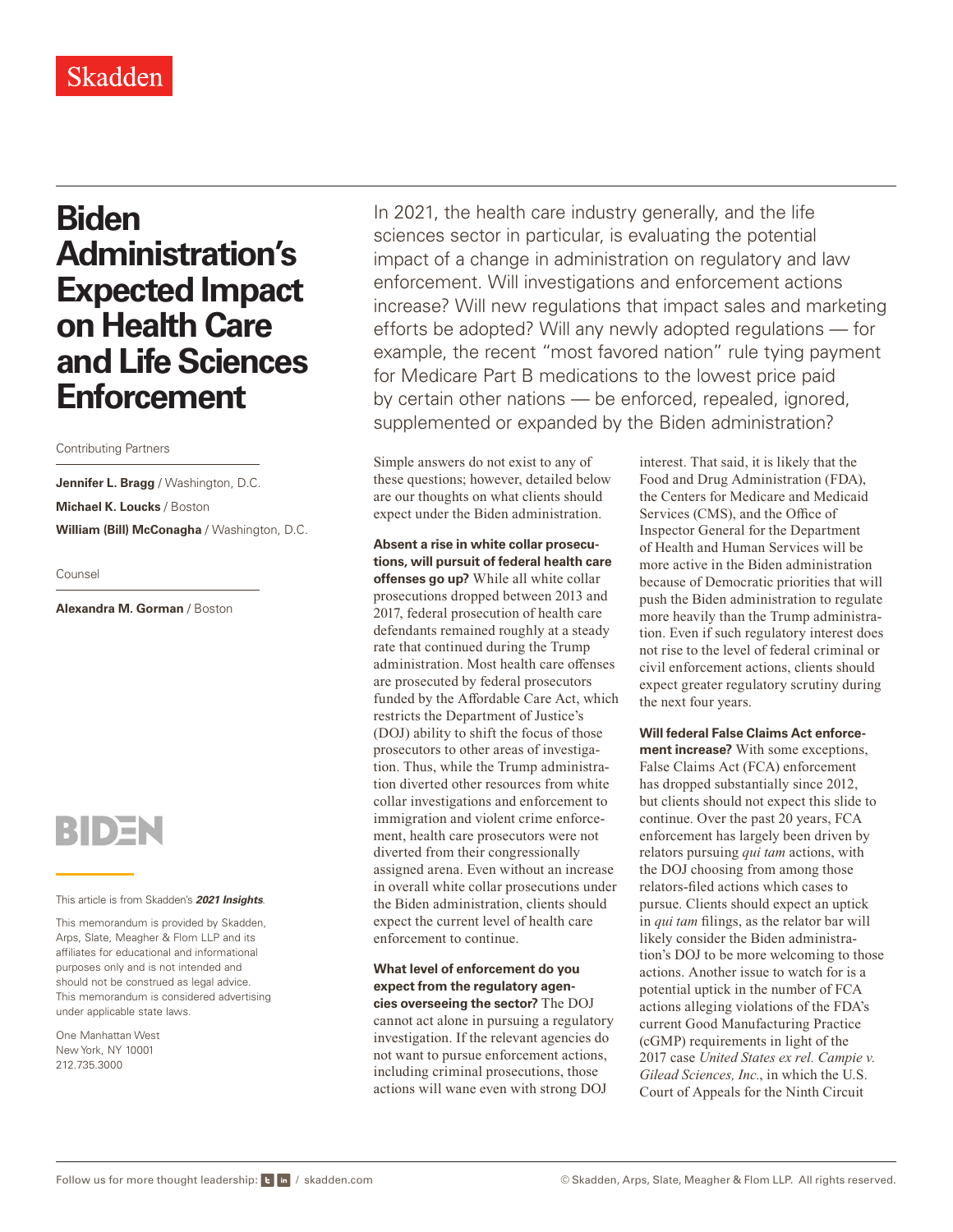# **Biden Administration's Expected Impact on Health Care and Life Sciences Enforcement**

### Contributing Partners

**Jennifer L. Bragg** / Washington, D.C. **Michael K. Loucks** / Boston **William (Bill) McConagha** / Washington, D.C.

Counsel

**Alexandra M. Gorman** / Boston



#### This article is from Skadden's *[2021 Insights](https://www.skadden.com/insights/publications/2021/01/2021-insights/2021-insights)*.

This memorandum is provided by Skadden, Arps, Slate, Meagher & Flom LLP and its affiliates for educational and informational purposes only and is not intended and should not be construed as legal advice. This memorandum is considered advertising under applicable state laws.

One Manhattan West New York, NY 10001 212.735.3000

In 2021, the health care industry generally, and the life sciences sector in particular, is evaluating the potential impact of a change in administration on regulatory and law enforcement. Will investigations and enforcement actions increase? Will new regulations that impact sales and marketing efforts be adopted? Will any newly adopted regulations — for example, the recent "most favored nation" rule tying payment for Medicare Part B medications to the lowest price paid by certain other nations — be enforced, repealed, ignored, supplemented or expanded by the Biden administration?

Simple answers do not exist to any of these questions; however, detailed below are our thoughts on what clients should expect under the Biden administration.

**Absent a rise in white collar prosecutions, will pursuit of federal health care offenses go up?** While all white collar prosecutions dropped between 2013 and 2017, federal prosecution of health care defendants remained roughly at a steady rate that continued during the Trump administration. Most health care offenses are prosecuted by federal prosecutors funded by the Affordable Care Act, which restricts the Department of Justice's (DOJ) ability to shift the focus of those prosecutors to other areas of investigation. Thus, while the Trump administration diverted other resources from white collar investigations and enforcement to immigration and violent crime enforcement, health care prosecutors were not diverted from their congressionally assigned arena. Even without an increase in overall white collar prosecutions under the Biden administration, clients should expect the current level of health care enforcement to continue.

**What level of enforcement do you expect from the regulatory agencies overseeing the sector?** The DOJ cannot act alone in pursuing a regulatory investigation. If the relevant agencies do not want to pursue enforcement actions, including criminal prosecutions, those actions will wane even with strong DOJ

interest. That said, it is likely that the Food and Drug Administration (FDA), the Centers for Medicare and Medicaid Services (CMS), and the Office of Inspector General for the Department of Health and Human Services will be more active in the Biden administration because of Democratic priorities that will push the Biden administration to regulate more heavily than the Trump administration. Even if such regulatory interest does not rise to the level of federal criminal or civil enforcement actions, clients should expect greater regulatory scrutiny during the next four years.

**Will federal False Claims Act enforcement increase?** With some exceptions, False Claims Act (FCA) enforcement has dropped substantially since 2012, but clients should not expect this slide to continue. Over the past 20 years, FCA enforcement has largely been driven by relators pursuing *qui tam* actions, with the DOJ choosing from among those relators-filed actions which cases to pursue. Clients should expect an uptick in *qui tam* filings, as the relator bar will likely consider the Biden administration's DOJ to be more welcoming to those actions. Another issue to watch for is a potential uptick in the number of FCA actions alleging violations of the FDA's current Good Manufacturing Practice (cGMP) requirements in light of the 2017 case *United States ex rel. Campie v. Gilead Sciences, Inc.*, in which the U.S. Court of Appeals for the Ninth Circuit